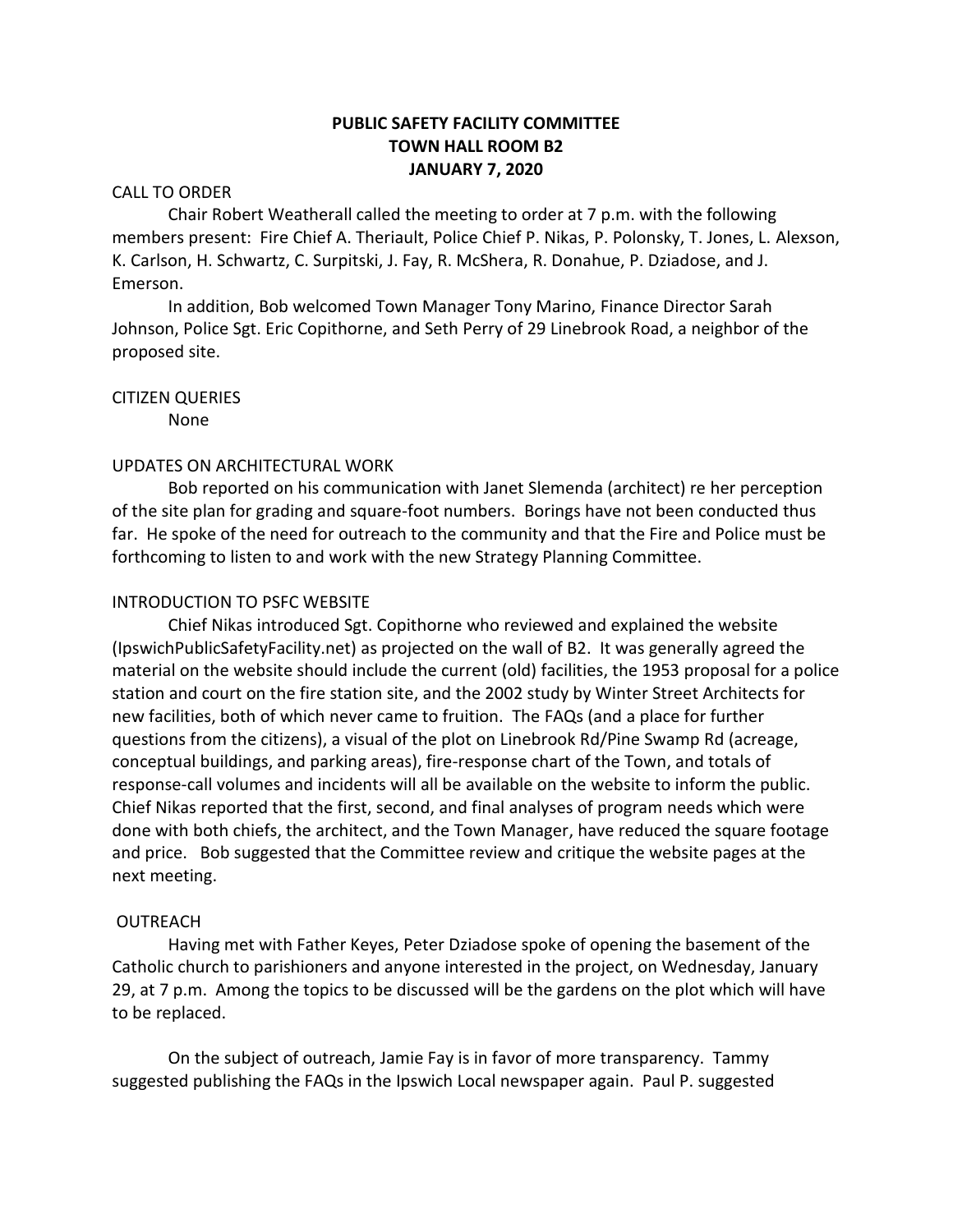# **PUBLIC SAFETY FACILITY COMMITTEE TOWN HALL ROOM B2 JANUARY 7, 2020**

# CALL TO ORDER

Chair Robert Weatherall called the meeting to order at 7 p.m. with the following members present: Fire Chief A. Theriault, Police Chief P. Nikas, P. Polonsky, T. Jones, L. Alexson, K. Carlson, H. Schwartz, C. Surpitski, J. Fay, R. McShera, R. Donahue, P. Dziadose, and J. Emerson.

In addition, Bob welcomed Town Manager Tony Marino, Finance Director Sarah Johnson, Police Sgt. Eric Copithorne, and Seth Perry of 29 Linebrook Road, a neighbor of the proposed site.

CITIZEN QUERIES

None

# UPDATES ON ARCHITECTURAL WORK

Bob reported on his communication with Janet Slemenda (architect) re her perception of the site plan for grading and square-foot numbers. Borings have not been conducted thus far. He spoke of the need for outreach to the community and that the Fire and Police must be forthcoming to listen to and work with the new Strategy Planning Committee.

# INTRODUCTION TO PSFC WEBSITE

Chief Nikas introduced Sgt. Copithorne who reviewed and explained the website (IpswichPublicSafetyFacility.net) as projected on the wall of B2. It was generally agreed the material on the website should include the current (old) facilities, the 1953 proposal for a police station and court on the fire station site, and the 2002 study by Winter Street Architects for new facilities, both of which never came to fruition. The FAQs (and a place for further questions from the citizens), a visual of the plot on Linebrook Rd/Pine Swamp Rd (acreage, conceptual buildings, and parking areas), fire-response chart of the Town, and totals of response-call volumes and incidents will all be available on the website to inform the public. Chief Nikas reported that the first, second, and final analyses of program needs which were done with both chiefs, the architect, and the Town Manager, have reduced the square footage and price. Bob suggested that the Committee review and critique the website pages at the next meeting.

#### OUTREACH

Having met with Father Keyes, Peter Dziadose spoke of opening the basement of the Catholic church to parishioners and anyone interested in the project, on Wednesday, January 29, at 7 p.m. Among the topics to be discussed will be the gardens on the plot which will have to be replaced.

On the subject of outreach, Jamie Fay is in favor of more transparency. Tammy suggested publishing the FAQs in the Ipswich Local newspaper again. Paul P. suggested